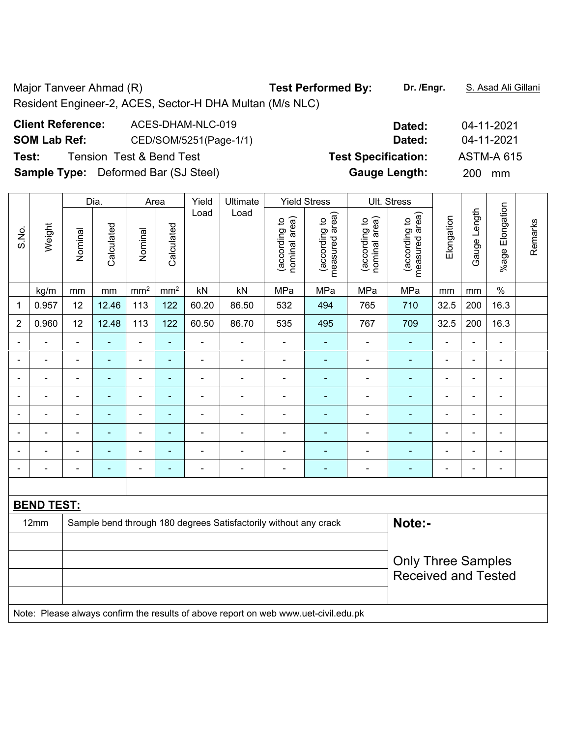Major Tanveer Ahmad (R) **Test Performed By:** Dr. /Engr. **S. Asad Ali Gillani** Assembly Charles And Ali Gillani Resident Engineer-2, ACES, Sector-H DHA Multan (M/s NLC)

## **Client Reference:** ACES-DHAM-NLC-019 **Dated:** 04-11-2021 **SOM Lab Ref:** CED/SOM/5251(Page-1/1) **Dated:** 04-11-2021 **Test:** Tension Test & Bend Test **Test Specification:** ASTM-A 615 **Sample Type:** Deformed Bar (SJ Steel) **Gauge Length:** 200 mm

|                          | Weight            |                                                | Dia.           | Area                     |                                | Yield                           | Ultimate                                                                            |                                    | <b>Yield Stress</b> |                          | Ult. Stress                |                |                |                              |  |
|--------------------------|-------------------|------------------------------------------------|----------------|--------------------------|--------------------------------|---------------------------------|-------------------------------------------------------------------------------------|------------------------------------|---------------------|--------------------------|----------------------------|----------------|----------------|------------------------------|--|
| S.No.                    |                   | Calculated<br>Calculated<br>Nominal<br>Nominal | Load           | Load                     | nominal area)<br>(according to | (according to<br>measured area) | nominal area)<br>(according to                                                      | area)<br>(according to<br>measured | Elongation          | Gauge Length             | %age Elongation            | Remarks        |                |                              |  |
|                          | kg/m              | mm                                             | $\,mm$         | mm <sup>2</sup>          | mm <sup>2</sup>                | kN                              | kN                                                                                  | MPa                                | MPa                 | MPa                      | MPa                        | mm             | mm             | $\%$                         |  |
| $\mathbf{1}$             | 0.957             | 12                                             | 12.46          | 113                      | 122                            | 60.20                           | 86.50                                                                               | 532                                | 494                 | 765                      | 710                        | 32.5           | 200            | 16.3                         |  |
| $\overline{2}$           | 0.960             | 12                                             | 12.48          | 113                      | 122                            | 60.50                           | 86.70                                                                               | 535                                | 495                 | 767                      | 709                        | 32.5           | 200            | 16.3                         |  |
| $\blacksquare$           | ÷                 | $\blacksquare$                                 | L,             | ÷,                       | $\blacksquare$                 | $\blacksquare$                  | $\blacksquare$                                                                      | $\blacksquare$                     | ٠                   | ä,                       | $\blacksquare$             | $\blacksquare$ | $\blacksquare$ | $\blacksquare$               |  |
| $\blacksquare$           | ÷                 | $\blacksquare$                                 | $\blacksquare$ | $\blacksquare$           | ÷                              | ÷,                              | $\blacksquare$                                                                      | $\overline{\phantom{a}}$           | $\blacksquare$      | ÷                        | $\blacksquare$             | $\blacksquare$ | $\blacksquare$ | $\qquad \qquad \blacksquare$ |  |
| $\overline{\phantom{0}}$ | $\blacksquare$    | $\blacksquare$                                 | $\blacksquare$ | $\blacksquare$           | $\blacksquare$                 | ÷.                              | $\overline{\phantom{a}}$                                                            | $\blacksquare$                     | $\blacksquare$      | $\overline{\phantom{a}}$ | $\blacksquare$             | $\blacksquare$ | ä,             | $\qquad \qquad \blacksquare$ |  |
| ä,                       | ä,                | $\blacksquare$                                 | $\blacksquare$ | $\overline{\phantom{a}}$ | $\blacksquare$                 | ä,                              | $\blacksquare$                                                                      | $\blacksquare$                     | $\blacksquare$      | ä,                       | $\blacksquare$             | $\blacksquare$ | $\blacksquare$ | ÷,                           |  |
|                          |                   | ä,                                             | ÷              | $\blacksquare$           | ä,                             | $\blacksquare$                  | $\blacksquare$                                                                      | $\blacksquare$                     | -                   | Ē,                       | ÷,                         | ä,             | ä,             | $\blacksquare$               |  |
|                          |                   |                                                | $\blacksquare$ | $\blacksquare$           | $\blacksquare$                 | $\blacksquare$                  | $\blacksquare$                                                                      | $\blacksquare$                     |                     | $\overline{\phantom{0}}$ | $\blacksquare$             |                |                | $\overline{\phantom{0}}$     |  |
|                          |                   |                                                |                | $\blacksquare$           | ÷                              | $\blacksquare$                  | $\blacksquare$                                                                      | $\blacksquare$                     |                     | L.                       | $\blacksquare$             |                |                | $\blacksquare$               |  |
| $\overline{\phantom{0}}$ | $\blacksquare$    | $\overline{\phantom{0}}$                       | $\blacksquare$ | $\blacksquare$           | $\blacksquare$                 | $\blacksquare$                  | $\blacksquare$                                                                      | ٠                                  | $\blacksquare$      | ٠                        | $\overline{\phantom{a}}$   | $\blacksquare$ | $\blacksquare$ | ÷                            |  |
|                          |                   |                                                |                |                          |                                |                                 |                                                                                     |                                    |                     |                          |                            |                |                |                              |  |
|                          | <b>BEND TEST:</b> |                                                |                |                          |                                |                                 |                                                                                     |                                    |                     |                          |                            |                |                |                              |  |
|                          | 12mm              |                                                |                |                          |                                |                                 | Sample bend through 180 degrees Satisfactorily without any crack                    |                                    |                     |                          | Note:-                     |                |                |                              |  |
|                          |                   |                                                |                |                          |                                |                                 |                                                                                     |                                    |                     |                          |                            |                |                |                              |  |
|                          |                   |                                                |                |                          |                                |                                 |                                                                                     |                                    |                     |                          | <b>Only Three Samples</b>  |                |                |                              |  |
|                          |                   |                                                |                |                          |                                |                                 |                                                                                     |                                    |                     |                          | <b>Received and Tested</b> |                |                |                              |  |
|                          |                   |                                                |                |                          |                                |                                 |                                                                                     |                                    |                     |                          |                            |                |                |                              |  |
|                          |                   |                                                |                |                          |                                |                                 | Note: Please always confirm the results of above report on web www.uet-civil.edu.pk |                                    |                     |                          |                            |                |                |                              |  |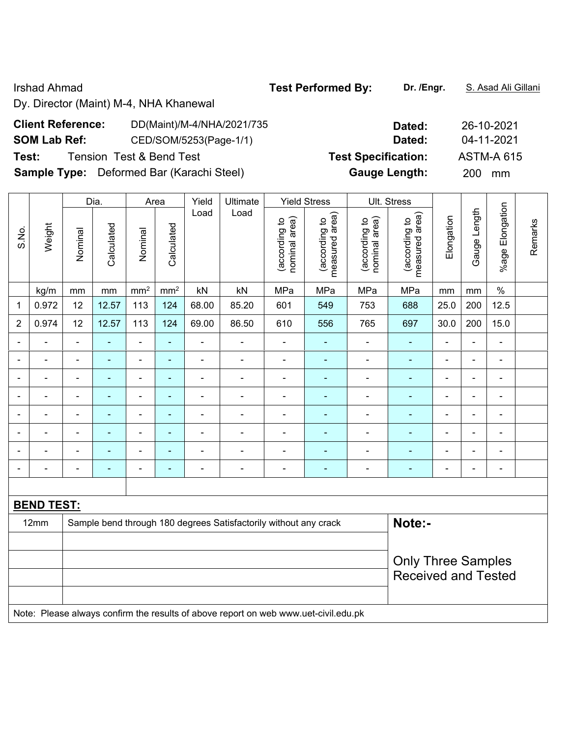#### Irshad Ahmad **Test Performed By: Dr. /Engr.** S. Asad Ali Gillani

Dy. Director (Maint) M-4, NHA Khanewal

| <b>Client Reference:</b> | DD(Maint)/M-4/NHA/2021/735                       | Dated:                     | 26-10-2021        |
|--------------------------|--------------------------------------------------|----------------------------|-------------------|
| <b>SOM Lab Ref:</b>      | CED/SOM/5253(Page-1/1)                           | Dated:                     | 04-11-2021        |
| Test:                    | <b>Tension Test &amp; Bend Test</b>              | <b>Test Specification:</b> | <b>ASTM-A 615</b> |
|                          | <b>Sample Type:</b> Deformed Bar (Karachi Steel) | <b>Gauge Length:</b>       | 200 mm            |

|                |                   |                | Dia.<br>Area   |                          |                 | Yield          | Ultimate                                                         |                                | <b>Yield Stress</b>             |                                | Ult. Stress                     |                |                          |                              |         |
|----------------|-------------------|----------------|----------------|--------------------------|-----------------|----------------|------------------------------------------------------------------|--------------------------------|---------------------------------|--------------------------------|---------------------------------|----------------|--------------------------|------------------------------|---------|
| S.No.          | Weight            | Nominal        | Calculated     | Nominal                  | Calculated      | Load           | Load                                                             | nominal area)<br>(according to | measured area)<br>(according to | nominal area)<br>(according to | measured area)<br>(according to | Elongation     | Gauge Length             | %age Elongation              | Remarks |
|                | kg/m              | mm             | mm             | mm <sup>2</sup>          | mm <sup>2</sup> | kN             | kN                                                               | MPa                            | MPa                             | MPa                            | MPa                             | mm             | mm                       | $\%$                         |         |
| $\mathbf 1$    | 0.972             | 12             | 12.57          | 113                      | 124             | 68.00          | 85.20                                                            | 601                            | 549                             | 753                            | 688                             | 25.0           | 200                      | 12.5                         |         |
| $\overline{2}$ | 0.974             | 12             | 12.57          | 113                      | 124             | 69.00          | 86.50                                                            | 610                            | 556                             | 765                            | 697                             | 30.0           | 200                      | 15.0                         |         |
|                |                   | $\blacksquare$ |                | ÷,                       | ÷               |                | $\blacksquare$                                                   | $\overline{\phantom{a}}$       | $\blacksquare$                  | $\overline{a}$                 | ÷,                              |                | $\blacksquare$           | $\blacksquare$               |         |
|                |                   |                | ٠              | $\overline{a}$           | ۰               | $\blacksquare$ | $\blacksquare$                                                   | $\overline{\phantom{0}}$       |                                 |                                | ۰                               |                | $\blacksquare$           | $\blacksquare$               |         |
| $\blacksquare$ | L,                |                | ٠              | $\blacksquare$           | $\blacksquare$  | $\blacksquare$ | $\blacksquare$                                                   | $\blacksquare$                 |                                 | $\blacksquare$                 | $\blacksquare$                  | $\blacksquare$ | $\blacksquare$           | $\overline{\phantom{a}}$     |         |
|                | $\blacksquare$    | $\blacksquare$ | $\blacksquare$ | $\overline{\phantom{0}}$ | $\blacksquare$  | $\blacksquare$ | $\blacksquare$                                                   | $\blacksquare$                 | $\overline{\phantom{0}}$        | $\overline{\phantom{a}}$       | ÷                               | $\blacksquare$ | $\blacksquare$           | $\blacksquare$               |         |
|                |                   |                |                | $\overline{a}$           | ۰               |                |                                                                  |                                |                                 |                                | ۰                               |                | $\overline{a}$           | $\qquad \qquad \blacksquare$ |         |
| $\blacksquare$ | $\blacksquare$    | ä,             | $\blacksquare$ | ÷                        | ٠               | $\blacksquare$ | $\blacksquare$                                                   | Ē,                             |                                 | ÷                              | $\overline{\phantom{0}}$        | $\blacksquare$ | $\blacksquare$           | ۰                            |         |
|                | $\blacksquare$    |                | $\blacksquare$ | $\blacksquare$           | $\blacksquare$  | $\blacksquare$ | $\overline{\phantom{a}}$                                         | $\overline{\phantom{a}}$       | $\overline{\phantom{0}}$        | $\blacksquare$                 | ۰                               | $\blacksquare$ | $\overline{\phantom{a}}$ | $\overline{\phantom{a}}$     |         |
|                |                   |                | $\blacksquare$ | ÷                        | ۰               | $\blacksquare$ | $\overline{\phantom{a}}$                                         | ÷                              | $\blacksquare$                  | $\overline{a}$                 | $\blacksquare$                  |                | $\blacksquare$           | $\qquad \qquad \blacksquare$ |         |
|                |                   |                |                |                          |                 |                |                                                                  |                                |                                 |                                |                                 |                |                          |                              |         |
|                | <b>BEND TEST:</b> |                |                |                          |                 |                |                                                                  |                                |                                 |                                |                                 |                |                          |                              |         |
|                | 12mm              |                |                |                          |                 |                | Sample bend through 180 degrees Satisfactorily without any crack |                                |                                 |                                | Note:-                          |                |                          |                              |         |
|                |                   |                |                |                          |                 |                |                                                                  |                                |                                 |                                |                                 |                |                          |                              |         |
|                |                   |                |                |                          |                 |                |                                                                  |                                |                                 | <b>Only Three Samples</b>      |                                 |                |                          |                              |         |
|                |                   |                |                |                          |                 |                |                                                                  |                                |                                 |                                | <b>Received and Tested</b>      |                |                          |                              |         |
|                |                   |                |                |                          |                 |                |                                                                  |                                |                                 |                                |                                 |                |                          |                              |         |

Note: Please always confirm the results of above report on web www.uet-civil.edu.pk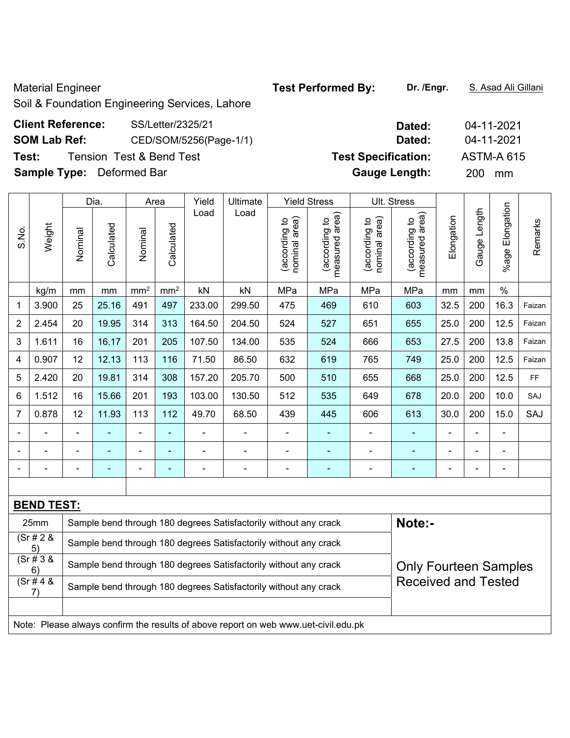Material Engineer **Test Performed By:** Dr. /Engr. **S. Asad Ali Gillani** Ali Ali Ali Ali Gillani

Soil & Foundation Engineering Services, Lahore

## **Client Reference:** SS/Letter/2325/21 **Dated:** 04-11-2021 **SOM Lab Ref:** CED/SOM/5256(Page-1/1) **Dated:** 04-11-2021 **Test:** Tension Test & Bend Test **Test Specification:** ASTM-A 615 **Sample Type:** Deformed Bar **Gauge Length:** 200 mm

|                | Weight            | Dia.    |            | Area            |                 | Yield  | Ultimate<br>Load                                                 |                                | <b>Yield Stress</b>             |                                | Ult. Stress                                                |            |                              |                          |         |
|----------------|-------------------|---------|------------|-----------------|-----------------|--------|------------------------------------------------------------------|--------------------------------|---------------------------------|--------------------------------|------------------------------------------------------------|------------|------------------------------|--------------------------|---------|
| S.No.          |                   | Nominal | Calculated | Nominal         | Calculated      | Load   |                                                                  | nominal area)<br>(according to | measured area)<br>(according to | nominal area)<br>(according to | area)<br>(according to<br>measured                         | Elongation | Length<br>Gauge <sup>1</sup> | Elongation<br>$%$ age    | Remarks |
|                | kg/m              | mm      | mm         | mm <sup>2</sup> | mm <sup>2</sup> | kN     | kN                                                               | MPa                            | MPa                             | MPa                            | MPa                                                        | mm         | mm                           | $\%$                     |         |
| $\mathbf 1$    | 3.900             | 25      | 25.16      | 491             | 497             | 233.00 | 299.50                                                           | 475                            | 469                             | 610                            | 603                                                        | 32.5       | 200                          | 16.3                     | Faizan  |
| $\overline{2}$ | 2.454             | 20      | 19.95      | 314             | 313             | 164.50 | 204.50                                                           | 524                            | 527                             | 651                            | 655                                                        | 25.0       | 200                          | 12.5                     | Faizan  |
| 3              | 1.611             | 16      | 16.17      | 201             | 205             | 107.50 | 134.00                                                           | 535                            | 524                             | 666                            | 653                                                        | 27.5       | 200                          | 13.8                     | Faizan  |
| $\overline{4}$ | 0.907             | 12      | 12.13      | 113             | 116             | 71.50  | 86.50                                                            | 632                            | 619                             | 765                            | 749                                                        | 25.0       | 200                          | 12.5                     | Faizan  |
| 5              | 2.420             | 20      | 19.81      | 314             | 308             | 157.20 | 205.70                                                           | 500                            | 510                             | 655                            | 668                                                        | 25.0       | 200                          | 12.5                     | FF      |
| 6              | 1.512             | 16      | 15.66      | 201             | 193             | 103.00 | 130.50                                                           | 512                            | 535                             | 649                            | 678                                                        | 20.0       | 200                          | 10.0                     | SAJ     |
| $\overline{7}$ | 0.878             | 12      | 11.93      | 113             | 112             | 49.70  | 68.50                                                            | 439                            | 445                             | 606                            | 613                                                        | 30.0       | 200                          | 15.0                     | SAJ     |
|                |                   |         |            |                 |                 |        |                                                                  |                                |                                 |                                |                                                            |            |                              |                          |         |
|                |                   |         |            |                 |                 |        |                                                                  | $\overline{\phantom{0}}$       |                                 |                                |                                                            |            | ä,                           | $\blacksquare$           |         |
|                |                   |         |            |                 |                 |        |                                                                  | $\blacksquare$                 |                                 | ۰                              |                                                            |            |                              | $\overline{\phantom{0}}$ |         |
|                |                   |         |            |                 |                 |        |                                                                  |                                |                                 |                                |                                                            |            |                              |                          |         |
|                | <b>BEND TEST:</b> |         |            |                 |                 |        |                                                                  |                                |                                 |                                |                                                            |            |                              |                          |         |
|                | 25mm              |         |            |                 |                 |        | Sample bend through 180 degrees Satisfactorily without any crack |                                |                                 |                                | Note:-                                                     |            |                              |                          |         |
|                | (Sr# 2 &<br>5)    |         |            |                 |                 |        | Sample bend through 180 degrees Satisfactorily without any crack |                                |                                 |                                | <b>Only Fourteen Samples</b><br><b>Received and Tested</b> |            |                              |                          |         |
|                | (Sr # 3 &<br>6)   |         |            |                 |                 |        | Sample bend through 180 degrees Satisfactorily without any crack |                                |                                 |                                |                                                            |            |                              |                          |         |
|                | (Sr # 4 &<br>7)   |         |            |                 |                 |        | Sample bend through 180 degrees Satisfactorily without any crack |                                |                                 |                                |                                                            |            |                              |                          |         |

Note: Please always confirm the results of above report on web www.uet-civil.edu.pk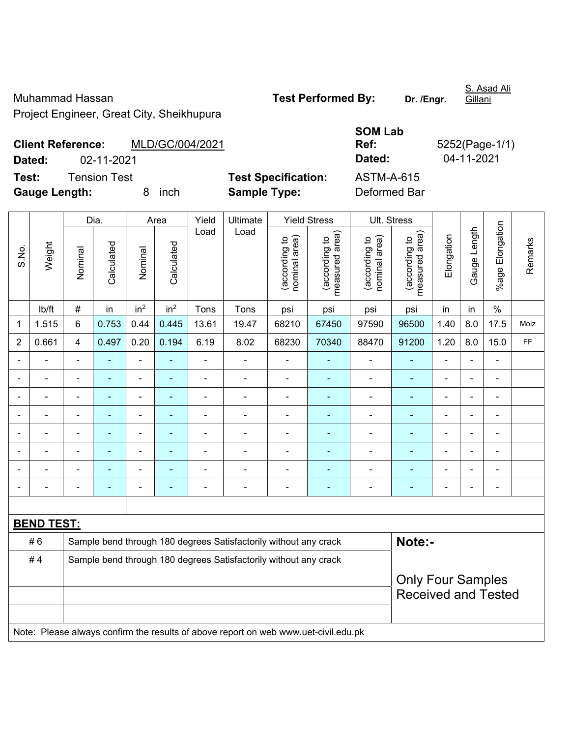Muhammad Hassan **Test Performed By:** Dr. /Engr.

S. Asad Ali

Project Engineer, Great City, Sheikhupura

**Client Reference:** MLD/GC/004/2021

# **SOM Lab Ref:** 5252(Page-1/1) **Dated:** 02-11-2021 **Dated:** 04-11-2021

**Test:** Tension Test **Test Specification:** ASTM-A-615

**Gauge Length:** 8 inch **Sample Type:** Deformed Bar

|                | Weight            | Dia.                  |                | Area                         |                 | Yield          | Ultimate                                                                            |                                 | <b>Yield Stress</b>            |                                 | Ult. Stress              |                |                 |                          |      |
|----------------|-------------------|-----------------------|----------------|------------------------------|-----------------|----------------|-------------------------------------------------------------------------------------|---------------------------------|--------------------------------|---------------------------------|--------------------------|----------------|-----------------|--------------------------|------|
| S.No.          |                   | Calculated<br>Nominal | Nominal        | Calculated                   | Load            | Load           | nominal area)<br>(according to                                                      | (according to<br>measured area) | nominal area)<br>(according to | (according to<br>measured area) | Elongation               | Gauge Length   | %age Elongation | Remarks                  |      |
|                | Ib/ft             | #                     | in             | in <sup>2</sup>              | in <sup>2</sup> | Tons           | Tons                                                                                | psi                             | psi                            | psi                             | psi                      | in             | in              | $\%$                     |      |
| 1              | 1.515             | 6                     | 0.753          | 0.44                         | 0.445           | 13.61          | 19.47                                                                               | 68210                           | 67450                          | 97590                           | 96500                    | 1.40           | 8.0             | 17.5                     | Moiz |
| $\overline{2}$ | 0.661             | 4                     | 0.497          | 0.20                         | 0.194           | 6.19           | 8.02                                                                                | 68230                           | 70340                          | 88470                           | 91200                    | 1.20           | 8.0             | 15.0                     | FF   |
|                |                   | ä,                    | L,             | $\blacksquare$               |                 | $\blacksquare$ |                                                                                     | $\overline{a}$                  | ä,                             | ÷                               | ÷,                       | ä,             |                 | ÷,                       |      |
|                |                   | Ē,                    | $\blacksquare$ | $\blacksquare$               |                 | L,             | $\blacksquare$                                                                      | ä,                              | $\blacksquare$                 | $\blacksquare$                  | ä,                       | $\blacksquare$ |                 | $\blacksquare$           |      |
|                |                   |                       | $\blacksquare$ | $\blacksquare$               |                 |                |                                                                                     |                                 |                                |                                 |                          |                |                 | $\blacksquare$           |      |
|                |                   |                       |                | ÷                            |                 |                |                                                                                     |                                 |                                |                                 |                          |                |                 |                          |      |
|                |                   |                       | $\blacksquare$ | ÷                            |                 | -              | $\blacksquare$                                                                      | $\blacksquare$                  | ۰                              | $\overline{\phantom{0}}$        | $\blacksquare$           | $\blacksquare$ |                 | ۰                        |      |
| $\blacksquare$ |                   | L,                    | ÷,             | ÷                            |                 | ä,             | ä,                                                                                  | L,                              | ÷                              | ÷                               | ÷,                       | $\blacksquare$ | L.              | ÷,                       |      |
|                |                   | Ē,                    | ÷              | ÷                            |                 | $\blacksquare$ | $\blacksquare$                                                                      | $\blacksquare$                  | ۰                              | $\blacksquare$                  | $\blacksquare$           | $\blacksquare$ |                 | $\blacksquare$           |      |
|                | $\blacksquare$    | $\blacksquare$        | $\blacksquare$ | $\qquad \qquad \blacksquare$ | ÷               | $\blacksquare$ | ÷                                                                                   | $\blacksquare$                  | ۰                              | ÷                               | ÷,                       | $\blacksquare$ |                 | $\overline{\phantom{0}}$ |      |
|                |                   |                       |                |                              |                 |                |                                                                                     |                                 |                                |                                 |                          |                |                 |                          |      |
|                | <b>BEND TEST:</b> |                       |                |                              |                 |                |                                                                                     |                                 |                                |                                 |                          |                |                 |                          |      |
|                | #6                |                       |                |                              |                 |                | Sample bend through 180 degrees Satisfactorily without any crack                    |                                 |                                |                                 | Note:-                   |                |                 |                          |      |
|                | #4                |                       |                |                              |                 |                | Sample bend through 180 degrees Satisfactorily without any crack                    |                                 |                                |                                 |                          |                |                 |                          |      |
|                |                   |                       |                |                              |                 |                |                                                                                     |                                 |                                |                                 | <b>Only Four Samples</b> |                |                 |                          |      |
|                |                   |                       |                |                              |                 |                |                                                                                     |                                 |                                | <b>Received and Tested</b>      |                          |                |                 |                          |      |
|                |                   |                       |                |                              |                 |                |                                                                                     |                                 |                                |                                 |                          |                |                 |                          |      |
|                |                   |                       |                |                              |                 |                | Note: Please always confirm the results of above report on web www.uet-civil.edu.pk |                                 |                                |                                 |                          |                |                 |                          |      |

Gillani